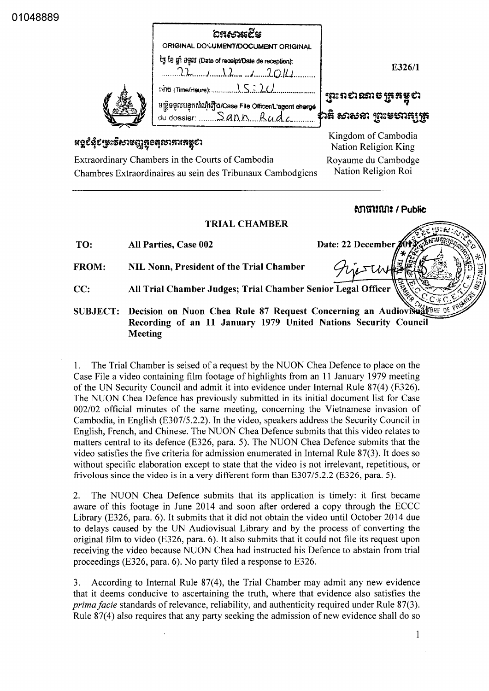01048889

|                                                                                                                | තුනාදෙන<br>ORIGINAL DO%UMENT/DOCUMENT ORIGINAL                                    |                                                 |
|----------------------------------------------------------------------------------------------------------------|-----------------------------------------------------------------------------------|-------------------------------------------------|
|                                                                                                                | ty ta yi 9900 (Date of receipt/Date de reception):<br>$22$ $12$                   | E326/1                                          |
|                                                                                                                | អន្ទឹមមូលបន្ទុកសំណុំរឿង/Case File Officer/L'agent charge<br>du dossier  Sann Rudc | ព្រះពស់ណាម ត្រូតម្លូស<br>\$านู จางจะ โยะลอนน์ไห |
| <b>អ</b> ទ្ធ៩នុំ៩ម្រះទិសាមញ្ញ <del>ត្ត</del> ូខតុលាភារគម្ពុខា                                                  |                                                                                   | Kingdom of Cambodia<br>Nation Religion King     |
| Extraordinary Chambers in the Courts of Cambodia<br>Chambres Extraordinaires au sein des Tribunaux Cambodgiens |                                                                                   | Royaume du Cambodge<br>Nation Religion Roi      |

## **MITTIKUTE / Public**

Date: 22 December

## **TRIAL CHAMBER**

| TO: | All Parties, Case 002 |  |  |
|-----|-----------------------|--|--|
|-----|-----------------------|--|--|

FROM:

NIL Nonn, President of the Trial Chamber

- All Trial Chamber Judges; Trial Chamber Senior Legal Officer  $CC:$
- Decision on Nuon Chea Rule 87 Request Concerning an Audiovisual 18RE DE **SUBJECT:** Recording of an 11 January 1979 United Nations Security Council **Meeting**

The Trial Chamber is seised of a request by the NUON Chea Defence to place on the  $1_{\cdot}$ Case File a video containing film footage of highlights from an 11 January 1979 meeting of the UN Security Council and admit it into evidence under Internal Rule 87(4) (E326). The NUON Chea Defence has previously submitted in its initial document list for Case 002/02 official minutes of the same meeting, concerning the Vietnamese invasion of Cambodia, in English (E307/5.2.2). In the video, speakers address the Security Council in English, French, and Chinese. The NUON Chea Defence submits that this video relates to matters central to its defence (E326, para. 5). The NUON Chea Defence submits that the video satisfies the five criteria for admission enumerated in Internal Rule 87(3). It does so without specific elaboration except to state that the video is not irrelevant, repetitious, or frivolous since the video is in a very different form than  $E307/5.2.2$  (E326, para. 5).

 $2.$ The NUON Chea Defence submits that its application is timely: it first became aware of this footage in June 2014 and soon after ordered a copy through the ECCC Library (E326, para. 6). It submits that it did not obtain the video until October 2014 due to delays caused by the UN Audiovisual Library and by the process of converting the original film to video (E326, para. 6). It also submits that it could not file its request upon receiving the video because NUON Chea had instructed his Defence to abstain from trial proceedings (E326, para. 6). No party filed a response to E326.

According to Internal Rule 87(4), the Trial Chamber may admit any new evidence 3. that it deems conducive to ascertaining the truth, where that evidence also satisfies the *prima facie* standards of relevance, reliability, and authenticity required under Rule 87(3). Rule 87(4) also requires that any party seeking the admission of new evidence shall do so